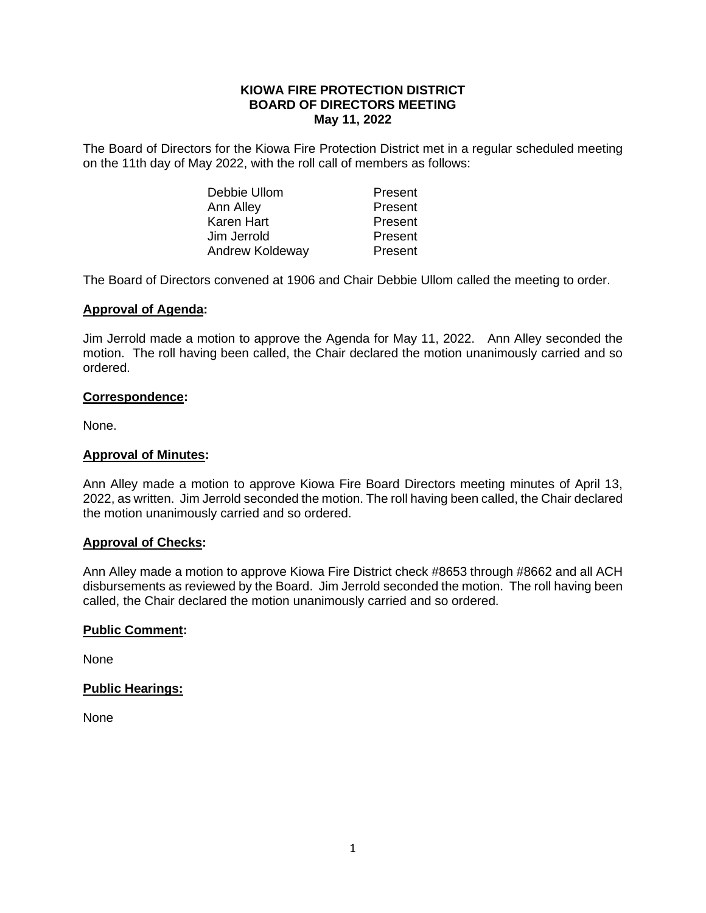## **KIOWA FIRE PROTECTION DISTRICT BOARD OF DIRECTORS MEETING May 11, 2022**

The Board of Directors for the Kiowa Fire Protection District met in a regular scheduled meeting on the 11th day of May 2022, with the roll call of members as follows:

| Debbie Ullom    | Present |
|-----------------|---------|
| Ann Alley       | Present |
| Karen Hart      | Present |
| Jim Jerrold     | Present |
| Andrew Koldeway | Present |

The Board of Directors convened at 1906 and Chair Debbie Ullom called the meeting to order.

## **Approval of Agenda:**

Jim Jerrold made a motion to approve the Agenda for May 11, 2022. Ann Alley seconded the motion. The roll having been called, the Chair declared the motion unanimously carried and so ordered.

## **Correspondence:**

None.

#### **Approval of Minutes:**

Ann Alley made a motion to approve Kiowa Fire Board Directors meeting minutes of April 13, 2022, as written. Jim Jerrold seconded the motion. The roll having been called, the Chair declared the motion unanimously carried and so ordered.

## **Approval of Checks:**

Ann Alley made a motion to approve Kiowa Fire District check #8653 through #8662 and all ACH disbursements as reviewed by the Board. Jim Jerrold seconded the motion. The roll having been called, the Chair declared the motion unanimously carried and so ordered.

## **Public Comment:**

None

## **Public Hearings:**

None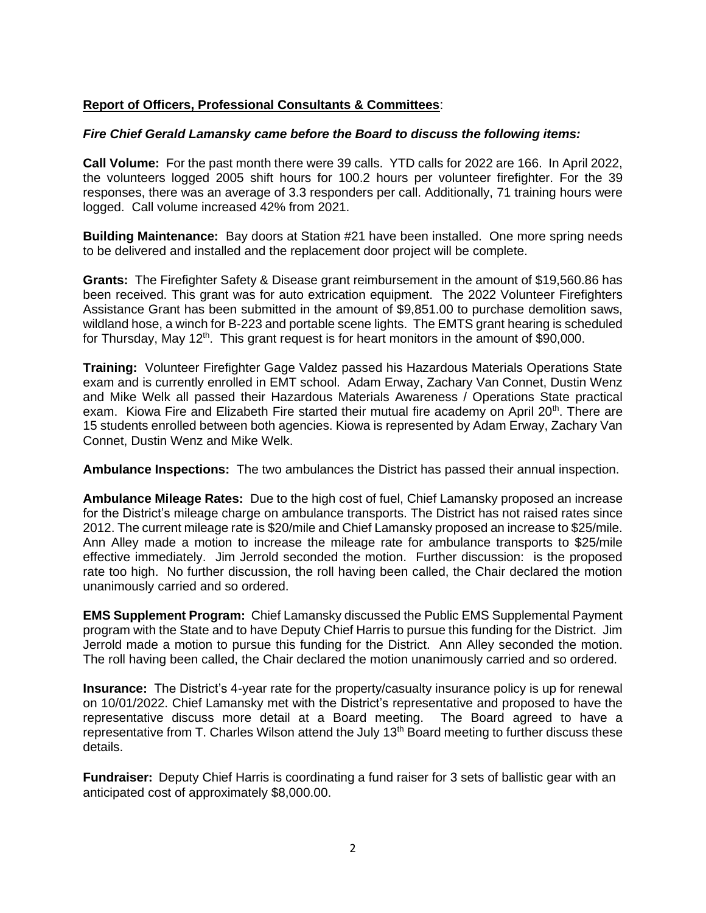# **Report of Officers, Professional Consultants & Committees**:

# *Fire Chief Gerald Lamansky came before the Board to discuss the following items:*

**Call Volume:** For the past month there were 39 calls. YTD calls for 2022 are 166. In April 2022, the volunteers logged 2005 shift hours for 100.2 hours per volunteer firefighter. For the 39 responses, there was an average of 3.3 responders per call. Additionally, 71 training hours were logged. Call volume increased 42% from 2021.

**Building Maintenance:** Bay doors at Station #21 have been installed. One more spring needs to be delivered and installed and the replacement door project will be complete.

**Grants:** The Firefighter Safety & Disease grant reimbursement in the amount of \$19,560.86 has been received. This grant was for auto extrication equipment. The 2022 Volunteer Firefighters Assistance Grant has been submitted in the amount of \$9,851.00 to purchase demolition saws, wildland hose, a winch for B-223 and portable scene lights. The EMTS grant hearing is scheduled for Thursday, May 12<sup>th</sup>. This grant request is for heart monitors in the amount of \$90,000.

**Training:** Volunteer Firefighter Gage Valdez passed his Hazardous Materials Operations State exam and is currently enrolled in EMT school. Adam Erway, Zachary Van Connet, Dustin Wenz and Mike Welk all passed their Hazardous Materials Awareness / Operations State practical exam. Kiowa Fire and Elizabeth Fire started their mutual fire academy on April 20<sup>th</sup>. There are 15 students enrolled between both agencies. Kiowa is represented by Adam Erway, Zachary Van Connet, Dustin Wenz and Mike Welk.

**Ambulance Inspections:** The two ambulances the District has passed their annual inspection.

**Ambulance Mileage Rates:** Due to the high cost of fuel, Chief Lamansky proposed an increase for the District's mileage charge on ambulance transports. The District has not raised rates since 2012. The current mileage rate is \$20/mile and Chief Lamansky proposed an increase to \$25/mile. Ann Alley made a motion to increase the mileage rate for ambulance transports to \$25/mile effective immediately. Jim Jerrold seconded the motion. Further discussion: is the proposed rate too high. No further discussion, the roll having been called, the Chair declared the motion unanimously carried and so ordered.

**EMS Supplement Program:** Chief Lamansky discussed the Public EMS Supplemental Payment program with the State and to have Deputy Chief Harris to pursue this funding for the District. Jim Jerrold made a motion to pursue this funding for the District. Ann Alley seconded the motion. The roll having been called, the Chair declared the motion unanimously carried and so ordered.

**Insurance:** The District's 4-year rate for the property/casualty insurance policy is up for renewal on 10/01/2022. Chief Lamansky met with the District's representative and proposed to have the representative discuss more detail at a Board meeting. The Board agreed to have a representative from T. Charles Wilson attend the July 13<sup>th</sup> Board meeting to further discuss these details.

**Fundraiser:** Deputy Chief Harris is coordinating a fund raiser for 3 sets of ballistic gear with an anticipated cost of approximately \$8,000.00.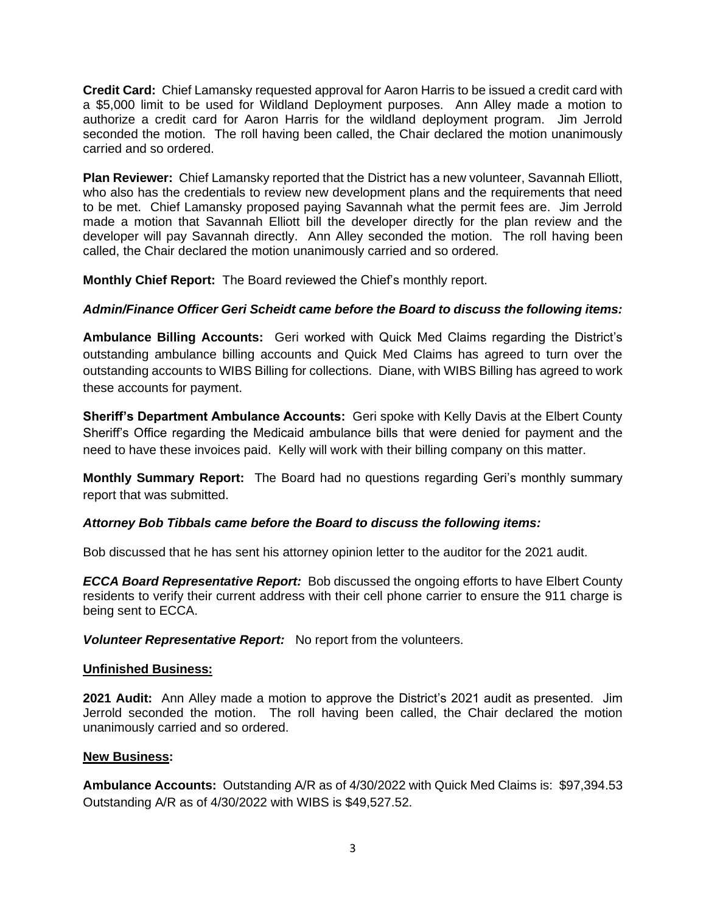**Credit Card:** Chief Lamansky requested approval for Aaron Harris to be issued a credit card with a \$5,000 limit to be used for Wildland Deployment purposes. Ann Alley made a motion to authorize a credit card for Aaron Harris for the wildland deployment program. Jim Jerrold seconded the motion. The roll having been called, the Chair declared the motion unanimously carried and so ordered.

**Plan Reviewer:** Chief Lamansky reported that the District has a new volunteer, Savannah Elliott, who also has the credentials to review new development plans and the requirements that need to be met. Chief Lamansky proposed paying Savannah what the permit fees are. Jim Jerrold made a motion that Savannah Elliott bill the developer directly for the plan review and the developer will pay Savannah directly. Ann Alley seconded the motion. The roll having been called, the Chair declared the motion unanimously carried and so ordered.

**Monthly Chief Report:** The Board reviewed the Chief's monthly report.

# *Admin/Finance Officer Geri Scheidt came before the Board to discuss the following items:*

**Ambulance Billing Accounts:** Geri worked with Quick Med Claims regarding the District's outstanding ambulance billing accounts and Quick Med Claims has agreed to turn over the outstanding accounts to WIBS Billing for collections. Diane, with WIBS Billing has agreed to work these accounts for payment.

**Sheriff's Department Ambulance Accounts:** Geri spoke with Kelly Davis at the Elbert County Sheriff's Office regarding the Medicaid ambulance bills that were denied for payment and the need to have these invoices paid. Kelly will work with their billing company on this matter.

**Monthly Summary Report:** The Board had no questions regarding Geri's monthly summary report that was submitted.

# *Attorney Bob Tibbals came before the Board to discuss the following items:*

Bob discussed that he has sent his attorney opinion letter to the auditor for the 2021 audit.

*ECCA Board Representative Report:* Bob discussed the ongoing efforts to have Elbert County residents to verify their current address with their cell phone carrier to ensure the 911 charge is being sent to ECCA.

*Volunteer Representative Report:*No report from the volunteers.

## **Unfinished Business:**

**2021 Audit:** Ann Alley made a motion to approve the District's 2021 audit as presented. Jim Jerrold seconded the motion. The roll having been called, the Chair declared the motion unanimously carried and so ordered.

## **New Business:**

**Ambulance Accounts:** Outstanding A/R as of 4/30/2022 with Quick Med Claims is: \$97,394.53 Outstanding A/R as of 4/30/2022 with WIBS is \$49,527.52.